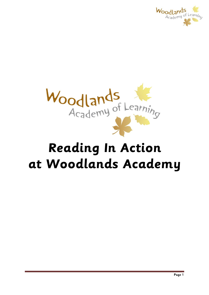



# **Reading In Action at Woodlands Academy**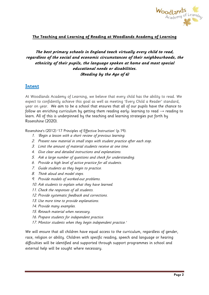

## **The Teaching and Learning of Reading at Woodlands Academy of Learning**

# **The best primary schools in England teach virtually every child to read, regardless of the social and economic circumstances of their neighbourhoods, the ethnicity of their pupils, the language spoken at home and most special educational needs or disabilities. (Reading by the Age of 6)**

# **Intent**

At Woodlands Academy of Learning, we believe that every child has the ability to read. We expect to confidently achieve this goal as well as meeting 'Every Child a Reader' standard, year on year. We aim to be a school that ensures that all of our pupils have the chance to follow an enriching curriculum by getting them reading early: learning to read  $\rightarrow$  reading to learn. All of this is underpinned by the teaching and learning strategies put forth by Rosenshine (2020).

Rosenshine's (2012) '17 Principles of Effective Instruction' (p.19):

- 1. 'Begin a lesson with a short review of previous learning.
- 2. Present new material in small steps with student practice after each step.
- 3. Limit the amount of material students receive at one time.
- 4. Give clear and detailed instructions and explanations.
- 5. Ask a large number of questions and check for understanding.
- 6. Provide a high level of active practice for all students.
- 7. Guide students as they begin to practice.
- 8. Think aloud and model steps.
- 9. Provide models of worked-out problems.
- 10. Ask students to explain what they have learned.
- 11. Check the responses of all students.
- 12. Provide systematic feedback and corrections.
- 13. Use more time to provide explanations.
- 14. Provide many examples.
- 15. Reteach material when necessary.
- 16. Prepare students for independent practice.
- 17. Monitor students when they begin independent practice.'

We will ensure that all children have equal access to the curriculum, regardless of gender, race, religion or ability. Children with specific reading, speech and language or hearing difficulties will be identified and supported through support programmes in school and external help will be sought where necessary.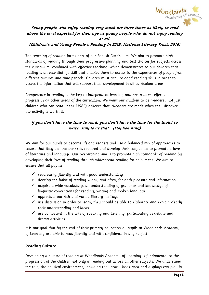

# **Young people who enjoy reading very much are three times as likely to read above the level expected for their age as young people who do not enjoy reading at all.**

#### **(Children's and Young People's Reading in 2015, National Literacy Trust, 2016)**

The teaching of reading forms part of our English Curriculum. We aim to promote high standards of reading through clear progressive planning and text choices for subjects across the curriculum, combined with effective teaching, which demonstrates to our children that reading is an essential life skill that enables them to access to the experiences of people from different cultures and time periods. Children must acquire good reading skills in order to access the information that will support their development in all curriculum areas.

Competence in reading is the key to independent learning and has a direct effect on progress in all other areas of the curriculum. We want our children to be 'readers', not just children who can read. Meek (1983) believes that, 'Readers are made when they discover the activity is worth it.'

# **If you don't have the time to read, you don't have the time (or the tools) to write. Simple as that. (Stephen King)**

We aim for our pupils to become lifelong readers and use a balanced mix of approaches to ensure that they achieve the skills required and develop their confidence to promote a love of literature and language. Our overarching aim is to promote high standards of reading by developing their love of reading through widespread reading for enjoyment. We aim to ensure that all pupils:

- $\checkmark$  read easily, fluently and with good understanding
- $\checkmark$  develop the habit of reading widely and often, for both pleasure and information
- $\checkmark$  acquire a wide vocabulary, an understanding of grammar and knowledge of linguistic conventions for reading, writing and spoken language
- $\checkmark$  appreciate our rich and varied literary heritage
- $\checkmark$  use discussion in order to learn; they should be able to elaborate and explain clearly their understanding and ideas
- $\checkmark$  are competent in the arts of speaking and listening, participating in debate and drama activities

It is our goal that by the end of their primary education all pupils at Woodlands Academy of Learning are able to read fluently and with confidence in any subject.

#### **Reading Culture**

Developing a culture of reading at Woodlands Academy of Learning is fundamental to the progression of the children not only in reading but across all other subjects. We understand the role, the physical environment, including the library, book area and displays can play in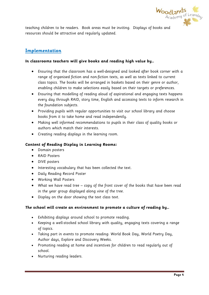

teaching children to be readers. Book areas must be inviting. Displays of books and resources should be attractive and regularly updated.

# **Implementation**

#### **In classrooms teachers will give books and reading high value by…**

- Ensuring that the classroom has a well-designed and looked after book corner with a range of organised fiction and non-fiction texts, as well as texts linked to current class topics. The books will be arranged in baskets based on their genre or author, enabling children to make selections easily based on their targets or preferences.
- Ensuring that modelling of reading aloud of aspirational and engaging texts happens every day through RAID, story time, English and accessing texts to inform research in the foundation subjects.
- Providing pupils with regular opportunities to visit our school library and choose books from it to take home and read independently.
- Making well informed recommendations to pupils in their class of quality books or authors which match their interests.
- Creating reading displays in the learning room.

#### **Content of Reading Display in Learning Rooms:**

- Domain posters
- RAID Posters
- DIVE posters
- Interesting vocabulary that has been collected the text.
- Daily Reading Record Poster
- Working Wall Posters
- What we have read tree copy of the front cover of the books that have been read in the year group displayed along vine of the tree.
- Display on the door showing the text class text.

#### **The school will create an environment to promote a culture of reading by…**

- Exhibiting displays around school to promote reading.
- Keeping a well-stocked school library with quality, engaging texts covering a range of topics.
- Taking part in events to promote reading: World Book Day, World Poetry Day, Author days, Explore and Discovery Weeks.
- Promoting reading at home and incentives for children to read regularly out of school.
- Nurturing reading leaders.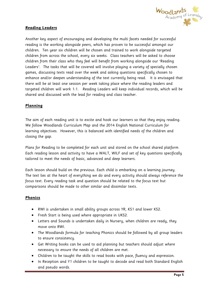

## **Reading Leaders**

Another key aspect of encouraging and developing the multi facets needed for successful reading is the working alongside peers, which has proven to be successful amongst our children. Ten year six children will be chosen and trained to work alongside targeted children from across the school, every six weeks. Class teachers will be asked to choose children from their class who they feel will benefit from working alongside our 'Reading Leaders'. The tasks that will be covered will involve playing a variety of specially chosen games, discussing texts read over the week and asking questions specifically chosen to enhance and/or deepen understanding of the text currently being read. It is envisaged that there will be at least one session per week taking place where the reading leaders and targeted children will work 1:1. Reading Leaders will keep individual records, which will be shared and discussed with the lead for reading and class teacher.

#### **Planning**

The aim of each reading unit is to excite and hook our learners so that they enjoy reading. We follow Woodlands Curriculum Map and the 2014 English National Curriculum for learning objectives. However, this is balanced with identified needs of the children and closing the gap.

Plans for Reading to be completed for each unit and stored on the school shared platform Each reading lesson and activity to have a WALT, WILF and set of key questions specifically tailored to meet the needs of basic, advanced and deep learners.

Each lesson should build on the previous. Each child is embarking on a learning journey. The text lies at the heart of everything we do and every activity should always reference the focus text. Every reading task and question should be related to the focus text but comparisons should be made to other similar and dissimilar texts.

#### **Phonics**

- RWI is undertaken in small ability groups across YR, KS1 and lower KS2.
- Fresh Start is being used where appropriate in UKS2.
- Letters and Sounds is undertaken daily in Nursery, when children are ready, they move onto RWI.
- The Woodlands formula for teaching Phonics should be followed by all group leaders to ensure consistency.
- Get Writing books can be used to aid planning but teachers should adjust where necessary to ensure the needs of all children are met.
- Children to be taught the skills to read books with pace, fluency and expression.
- In Reception and Y1 children to be taught to decode and read both Standard English and pseudo words.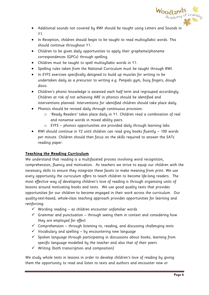

- Additional sounds not covered by RWI should be taught using Letters and Sounds in Y1.
- In Reception, children should begin to be taught to read multisyllabic words. This should continue throughout Y1.
- Children to be given daily opportunities to apply their grapheme/phoneme correspondences (GPCs) through spelling.
- Children must be taught to spell multisyllabic words in Y1.
- Spelling rules taken from the National Curriculum must be taught through RWI.
- In EYFS exercises specifically designed to build up muscles for writing to be undertaken daily as a precursor to writing e.g. Penpals gym, busy fingers, dough disco.
- Children's phonic knowledge is assessed each half term and regrouped accordingly. Children at risk of not achieving ARE in phonics should be identified and interventions planned. Interventions for identified children should take place daily.
- Phonics should be revised daily through continuous provision:
	- o 'Ready Readers' takes place daily in Y1. Children read a combination of real and nonsense words in mixed ability pairs.
	- o EYFS phonics opportunities are provided daily through learning labs.
- RWI should continue in Y2 until children can read grey books fluently 100 words per minute. Children should then focus on the skills required to answer the SATs reading paper.

#### **Teaching the Reading Curriculum**

We understand that reading is a multifaceted process involving word recognition, comprehension, fluency and motivation. As teachers we strive to equip our children with the necessary skills to ensure they integrate these facets to make meaning from print. We use every opportunity the curriculum offers to teach children to become life-long readers. The most effective way of developing children's love of reading is through organising units of lessons around motivating books and texts. We use good quality texts that provides opportunities for our children to become engaged in their work across the curriculum. Our quality-text-based, whole-class teaching approach provides opportunities for learning and reinforcing:

- $\checkmark$  Wording reading as children encounter unfamiliar words
- $\checkmark$  Grammar and punctuation through seeing them in context and considering how they are employed for effect
- $\checkmark$  Comprehension through listening to, reading, and discussing challenging texts
- $\checkmark$  Vocabulary and spelling by encountering new language
- $\checkmark$  Spoken language through participating in discussions about books, learning from specific language modelled by the teacher and also that of their peers
- $\checkmark$  Writing (both transcription and composition)

We study whole texts in lessons in order to develop children's love of reading by giving them the opportunity to read and listen to texts and authors and encounter new or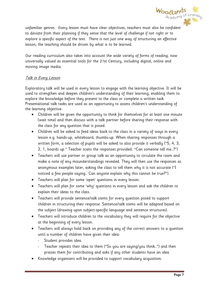

unfamiliar genres. Every lesson must have clear objectives, teachers must also be confident to deviate from their planning if they sense that the level of challenge if not right or to explore a specific aspect of the text. There is not just one way of structuring an effective lesson; the teaching should be driven by what is to be learned.

Our reading curriculum also takes into account the wide variety of forms of reading, now universally valued as essential tools for the 21st Century, including digital, online and moving image media.

# Talk in Every Lesson

Exploratory talk will be used in every lesson to engage with the learning objective. It will be used to strengthen and deepen children's understanding of their learning, enabling them to explore the knowledge before they present to the class or complete a written task. Presentational talk tasks are used as an opportunity to assess children's understanding of the learning objective.

- Children will be given the opportunity to think for themselves for at least one minute (wait time) and then discuss with a talk partner before sharing their response with the class for any question that is posed.
- Children will be asked to feed ideas back to the class in a variety of ways in every lesson e.g. hands-up, whiteboard, thumbs-up. When sharing responses through a written form, a selection of pupils will be asked to also provide it verbally ("5, 4, 3, 2, 1, boards up." Teacher scans the responses provided. "Can someone tell me…?")
- Teachers will use partner or group talk as an opportunity to circulate the room and make a note of any misunderstandings revealed. They will then use the responses as anonymous examples later, asking the class to tell them why it is not accurate ("I noticed a few people saying… Can anyone explain why this cannot be true?").
- Teachers will plan for some 'open' questions in every lesson.
- Teachers will plan for some 'why' questions in every lesson and ask the children to explain their ideas to the class.
- Teachers will provide sentence/talk stems for every question posed to support children in structuring their response. Sentence/talk stems will be adapted based on the subject (drawing upon subject-specific language and sentence structures).
- Teachers will introduce children to the vocabulary they will require for the objective at the beginning of every lesson.
- Teachers will always hold back on providing any of the correct answers to a question until a number of children have given their idea:
	- Student provides idea.
	- Teacher repeats their idea to them ("So you are saying/you think...") and then praises them for contributing and asks if any other students have an idea.
- Knowledge organisers will be provided to support vocabulary acquisition.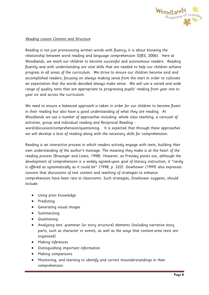

#### Reading Lesson Content and Structure

Reading is not just pronouncing written words with fluency; it is about knowing the relationship between word reading and language comprehension (DfES, 2006). Here at Woodlands, we teach our children to become successful and autonomous readers. Reading fluently and with understanding are vital skills that are needed to help our children achieve progress in all areas of the curriculum. We strive to ensure our children become avid and accomplished readers; focusing on always making sense from the start in order to cultivate an expectation that the words decoded always make sense. We will use a varied and wide range of quality texts that are appropriate to progressing pupils' reading from year one to year six and across the curriculum.

We need to ensure a balanced approach is taken in order for our children to become fluent in their reading but also have a good understanding of what they are reading. At Woodlands we use a number of approaches including: whole class teaching, a carousel of activities, group and individual reading and Reciprocal Reading word/discussion/comprehension/questioning. It is expected that through these approaches we will develop a love of reading along with the necessary skills for comprehension.

Reading is an interactive process in which readers actively engage with texts, building their own understanding of the author's message. The meaning they make is at the heart of the reading process (Braunger and Lewis, 1998). However, as Pressley points out, although the development of comprehension is a widely agreed-upon goal of literacy instruction, it "rarely is offered as systematically as it could be" (1998, p. 222). Dowhower (1999) also expresses concern that discussions of text content and teaching of strategies to enhance comprehension have been rare in classrooms. Such strategies, Dowhower suggests, should include:

- Using prior knowledge
- Predicting
- Generating visual images
- **•** Summarising
- Questioning
- Analysing text: grammar (or story structure) elements (including narrative story parts, such as character or events, as well as the ways that content-area texts are organised)
- Making inferences
- Distinguishing important information
- Making comparisons
- Monitoring, and learning to identify and correct misunderstandings in their comprehension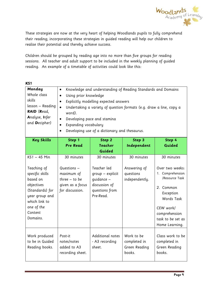

These strategies are now at the very heart of helping Woodlands pupils to fully comprehend their reading; incorporating these strategies in guided reading will help our children to realise their potential and thereby achieve success.

Children should be grouped by reading age into no more than five groups for reading sessions. All teacher and adult support to be included in the weekly planning of guided reading. An example of a timetable of activities could look like this:

| KS1                                                                                                                                                                 |                                                                                                                                                                                                                                                                                                                                                                                                                    |                                                                                                             |                                                           |                                                                                                                                                                                  |
|---------------------------------------------------------------------------------------------------------------------------------------------------------------------|--------------------------------------------------------------------------------------------------------------------------------------------------------------------------------------------------------------------------------------------------------------------------------------------------------------------------------------------------------------------------------------------------------------------|-------------------------------------------------------------------------------------------------------------|-----------------------------------------------------------|----------------------------------------------------------------------------------------------------------------------------------------------------------------------------------|
| Monday<br>Whole class<br>skills<br>lesson – Reading<br>RAID (Read,<br>Analyse, Infer<br>and Decipher)                                                               | Knowledge and understanding of Reading Standards and Domains<br>$\bullet$<br>Using prior knowledge<br>$\bullet$<br>Explicitly modelling expected answers<br>$\bullet$<br>$\bullet$<br>Undertaking a variety of question formats (e.g. draw a line, copy a<br>word).<br>Developing pace and stamina<br>$\bullet$<br>Expanding vocabulary<br>$\bullet$<br>Developing use of a dictionary and thesaurus.<br>$\bullet$ |                                                                                                             |                                                           |                                                                                                                                                                                  |
| <b>Key Skills</b>                                                                                                                                                   | Step 1<br><b>Pre Read</b>                                                                                                                                                                                                                                                                                                                                                                                          | Step 2<br><b>Teacher</b>                                                                                    | Step 3<br>Independent                                     | Step 4<br>Guided                                                                                                                                                                 |
|                                                                                                                                                                     |                                                                                                                                                                                                                                                                                                                                                                                                                    | Guided                                                                                                      |                                                           |                                                                                                                                                                                  |
| KS1 - 45 Min<br>Teaching of<br>specific skills<br>based on<br>objectives<br>(Standards) for<br>year group and<br>which link to<br>one of the<br>Content<br>Domains. | 30 minutes<br>Questions -<br>maximum of<br>$three - to be$<br>given as a focus<br>for discussion.                                                                                                                                                                                                                                                                                                                  | 30 minutes<br>Teacher led<br>group - explicit<br>quidance -<br>discussion of<br>questions from<br>Pre-Read. | 30 minutes<br>Answering of<br>questions<br>independently. | 30 minutes<br>Over two weeks:<br>1. Comprehension<br>/Resource Task<br>2. Common<br>Exception<br>Words Task<br>CEW work/<br>comprehension<br>task to be set as<br>Home Learning. |
| Work produced<br>to be in Guided<br>Reading books.                                                                                                                  | Post-it<br>notes/notes<br>added to A3<br>recording sheet.                                                                                                                                                                                                                                                                                                                                                          | Additional notes<br>- A3 recording<br>sheet.                                                                | Work to be<br>completed in<br>Green Reading<br>books.     | Class work to be<br>completed in<br>Green Reading<br>books.                                                                                                                      |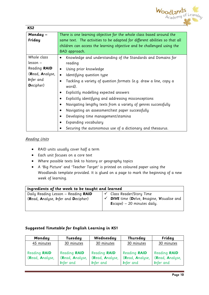

| KS <sub>2</sub> |                                                                             |  |  |  |
|-----------------|-----------------------------------------------------------------------------|--|--|--|
| Monday-         | There is one learning objective for the whole class based around the        |  |  |  |
| Friday          | same text. The activities to be adapted for different abilities so that all |  |  |  |
|                 | children can access the learning objective and be challenged using the      |  |  |  |
|                 | BAD approach.                                                               |  |  |  |
| Whole class     | Knowledge and understanding of the Standards and Domains for<br>٠           |  |  |  |
| lesson –        | reading                                                                     |  |  |  |
| Reading RAID    | Using prior knowledge<br>$\bullet$                                          |  |  |  |
| (Read, Analyse, | Identifying question type<br>$\bullet$                                      |  |  |  |
| Infer and       | Tackling a variety of question formats (e.g. draw a line, copy a            |  |  |  |
| Decipher)       | word).                                                                      |  |  |  |
|                 | Explicitly modelling expected answers                                       |  |  |  |
|                 | Explicitly identifying and addressing misconceptions                        |  |  |  |
|                 | Navigating lengthy texts from a variety of genres successfully              |  |  |  |
|                 | Navigating an assessment/test paper successfully                            |  |  |  |
|                 | Developing time management/stamina<br>$\bullet$                             |  |  |  |
|                 | Expanding vocabulary                                                        |  |  |  |
|                 | Securing the autonomous use of a dictionary and thesaurus.                  |  |  |  |

#### Reading Units

- RAID units usually cover half a term
- Each unit focuses on a core text
- Where possible texts link to history or geography topics
- A 'Big Picture' and 'Teacher Target' is printed on coloured paper using the Woodlands template provided. It is glued on a page to mark the beginning of a new week of learning.

| Ingredients of the week to be taught and learned |                                                 |  |  |
|--------------------------------------------------|-------------------------------------------------|--|--|
| Daily Reading Lesson - Reading RAID              | Class Reader/Story Time                         |  |  |
| (Read, Analyse, Infer and Decipher)              | <b>DIVE</b> time (Delve, Imagine, Visualise and |  |  |
|                                                  | <b>E</b> scape) $-20$ minutes daily.            |  |  |
|                                                  |                                                 |  |  |

## **Suggested Timetable for English Learning in KS1**

| Monday                                 | Tuesday                                             | Wednesday                                           | Thursday                                            | Friday                                              |
|----------------------------------------|-----------------------------------------------------|-----------------------------------------------------|-----------------------------------------------------|-----------------------------------------------------|
| 45 minutes                             | 30 minutes                                          | 30 minutes                                          | 30 minutes                                          | 30 minutes                                          |
| <b>Reading RAID</b><br>(Read, Analyse, | <b>Reading RAID</b><br>(Read, Analyse,<br>Infer and | Reading <b>RAID</b><br>(Read, Analyse,<br>Infer and | Reading <b>RAID</b><br>(Read, Analyse,<br>Infer and | Reading <b>RAID</b><br>(Read, Analyse,<br>Infer and |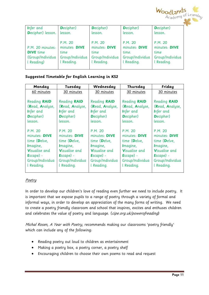

| Infer and         | Decipher)       | <b>D</b> ecipher) | <b>D</b> ecipher) | Decipher)       |
|-------------------|-----------------|-------------------|-------------------|-----------------|
| Decipher) lesson. | lesson.         | lesson.           | lesson.           | lesson.         |
|                   |                 |                   |                   |                 |
|                   | P.M. 20         | P.M. 20           | P.M. 20           | P.M. 20         |
| P.M. 20 minutes:  | minutes: DIVE   | minutes: DIVE     | minutes: DIVE     | minutes: DIVE   |
| <b>DIVE</b> time  | time            | time              | time.             | time            |
| (Group/Individua  | Group/Individua | Group/Individua   | Group/Individua   | Group/Individua |
| l Reading)        | l Reading.      | l Reading.        | l Reading.        | l Reading.      |
|                   |                 |                   |                   |                 |

#### **Suggested Timetable for English Learning in KS2**

| Monday               | Tuesday              | Wednesday             | Thursday              | Friday               |
|----------------------|----------------------|-----------------------|-----------------------|----------------------|
| 60 minutes           | 30 minutes           | 30 minutes            | 30 minutes            | 30 minutes           |
|                      |                      |                       |                       |                      |
| <b>Reading RAID</b>  | <b>Reading RAID</b>  | <b>Reading RAID</b>   | <b>Reading RAID</b>   | <b>Reading RAID</b>  |
| (Read, Analyse,      | (Read, Analyse,      | (Read, Analyse,       | (Read, Analyse,       | (Read, Analyse,      |
| Infer and            | Infer and            | Infer and             | Infer and             | Infer and            |
| Decipher)            | Decipher)            | Decipher)             | Decipher)             | Decipher)            |
| lesson.              | lesson.              | lesson.               | lesson.               | lesson.              |
|                      |                      |                       |                       |                      |
| P.M. 20              | P.M. 20              | P.M. 20               | P.M. 20               | P.M. 20              |
| minutes: DIVE        | minutes: DIVE        | minutes: DIVE         | minutes: DIVE         | minutes: DIVE        |
| time (Delve,         | time (Delve,         | time (Delve,          | time (Delve,          | time (Delve,         |
| Imagine,             | Imagine,             | Imagine,              | Imagine,              | Imagine,             |
| <b>Visualise and</b> | <b>Visualise and</b> | <b>V</b> isualise and | <b>V</b> isualise and | <b>Visualise and</b> |
| Escape) -            | Escape) -            | Escape) -             | Escape) -             | Escape) -            |
| Group/Individua      | Group/Individua      | Group/Individua       | Group/Individua       | Group/Individua      |
| l Reading.           | l Reading.           | l Reading.            | l Reading.            | l Reading.           |
|                      |                      |                       |                       |                      |

#### **Poetry**

In order to develop our children's love of reading even further we need to include poetry. It is important that we expose pupils to a range of poetry through a variety of formal and informal ways, in order to develop an appreciation of the many forms of writing. We need to create a poetry friendly classroom and school that inspires, excites and enthuses children and celebrates the value of poetry and language. (cipe.org.uk/powerofreading)

Michal Rosen, A Year with Poetry, recommends making our classrooms 'poetry friendly' which can include any of the following:

- Reading poetry out loud to children as entertainment
- Making a poetry box, a poetry corner, a poetry shelf
- Encouraging children to choose their own poems to read and request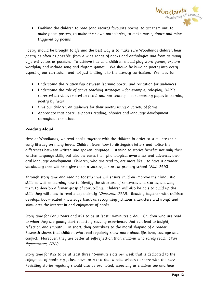

 Enabling the children to read (and record) favourite poems, to act them out, to make poem posters, to make their own anthologies, to make music, dance and mine triggered by poems

Poetry should be brought to life and the best way is to make sure Woodlands children hear poetry as often as possible; from a wide range of books and anthologies and from as many different voices as possible. To achieve this aim, children should play word games, explore wordplay and include song and rhythm games. We should be building poetry into every aspect of our curriculum and not just limiting it to the literacy curriculum. We need to:

- Understand the relationship between learning poetry and recitation for audiences
- Understand the role of active teaching strategies for example, role-play, DARTs (directed activities related to texts) and hot seating – in supporting pupils in learning poetry by heart
- Give our children an audience for their poetry using a variety of forms
- Appreciate that poetry supports reading, phonics and language development throughout the school

#### **Reading Aloud**

Here at Woodlands, we read books together with the children in order to stimulate their early literacy on many levels. Children learn how to distinguish letters and notice the differences between written and spoken language. Listening to stories benefits not only their written language skills, but also increases their phonological awareness and advances their oral language development. Children, who are read to, are more likely to have a broader vocabulary that will help give them a successful start at primary school (Mol, 2010).

Through story time and reading together we will ensure children improve their linguistic skills as well as learning how to identify the structure of sentences and stories, allowing them to develop a firmer grasp of storytelling. Children will also be able to build up the skills they will need to read independently (*Duursma, 2012*). Reading together with children develops book-related knowledge (such as recognising fictitious characters and irony) and stimulates the interest in and enjoyment of books.

Story time for Early Years and KS1 to be at least 10-minutes a day: Children who are read to when they are young start collecting reading experiences that can lead to insight, reflection and empathy. In short, they contribute to the moral shaping of a reader. Research shows that children who read regularly know more about life, love, courage and conflict. Moreover, they are better at self-reflection than children who rarely read. (Van Peperstraten, 2011)

Story time for KS2 to be at least three 15-minute slots per week that is dedicated to the enjoyment of books e.g., class novel or a text that a child wishes to share with the class. Revisiting stories regularly should also be promoted, especially as children see and hear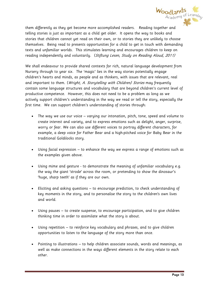

them differently as they get become more accomplished readers. Reading together and telling stories is just as important as a child get older. It opens the way to books and stories that children cannot yet read on their own, or to stories they are unlikely to choose themselves. Being read to presents opportunities for a child to get in touch with demanding texts and unfamiliar worlds. This stimulates learning and encourages children to keep on reading independently and voluntarily. (Stiftung Lesen, Study on Reading Aloud, 2011)

We shall endeavour to provide shared contexts for rich, natural language development from Nursery through to year six. The 'magic' lies in the way stories potentially engage children's hearts and minds, as people and as thinkers, with issues that are relevant, real and important to them. (Wright, A. Storytelling with Children) Stories may frequently contain some language structures and vocabulary that are beyond children's current level of productive competence. However, this does not need to be a problem as long as we actively support children's understanding in the way we read or tell the story, especially the first time. We can support children's understanding of stories through:

- The way we use our voice varying our intonation, pitch, tone, speed and volume to create interest and variety, and to express emotions such as delight, anger, surprise, worry or fear. We can also use different voices to portray different characters, for example, a deep voice for Father Bear and a high-pitched voice for Baby Bear in the traditional Goldilocks story.
- Using facial expression to enhance the way we express a range of emotions such as the examples given above.
- Using mime and gesture to demonstrate the meaning of unfamiliar vocabulary e.g. the way the giant 'strode' across the room, or pretending to show the dinosaur's 'huge, sharp teeth' as if they are our own.
- Eliciting and asking questions to encourage prediction, to check understanding of key moments in the story, and to personalise the story to the children's own lives and world.
- Using pauses to create suspense, to encourage participation, and to give children thinking time in order to assimilate what the story is about.
- Using repetition to reinforce key vocabulary and phrases, and to give children opportunities to listen to the language of the story more than once.
- Pointing to illustrations to help children associate sounds, words and meanings, as well as make connections in the ways different elements in the story relate to each other.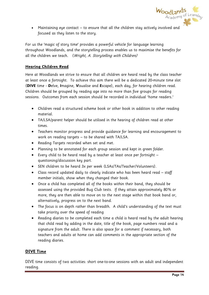

 Maintaining eye contact – to ensure that all the children stay actively involved and focused as they listen to the story.

For us the 'magic of story time' provides a powerful vehicle for language learning throughout Woodlands, and the storytelling process enables us to maximise the benefits for all the children we teach. (Wright, A. Storytelling with Children)

## **Hearing Children Read**

Here at Woodlands we strive to ensure that all children are heard read by the class teacher at least once a fortnight. To achieve this aim there will be a dedicated 20-minute time slot (**DIVE** time - **D**elve, **I**magine, **V**isualise and **E**scape), each day, for hearing children read. Children should be grouped by reading age into no more than five groups for reading sessions. Outcomes from each session should be recorded in individual 'home readers.'

- Children read a structured scheme book or other book in addition to other reading material.
- TA/LSA/parent helper should be utilised in the hearing of children read at other times.
- Teachers monitor progress and provide guidance for learning and encouragement to work on reading targets – to be shared with TA/LSA.
- Reading Targets recorded when set and met.
- Planning to be annotated for each group session and kept in green folder.
- Every child to be heard read by a teacher at least once per fortnight questioning/discussion key part.
- SEN children to be heard 3x per week (LSAs/TAs/Teacher/Volunteers).
- Class record updated daily to clearly indicate who has been heard read staff member initials, show when they changed their book.
- Once a child has completed all of the books within their band, they should be assessed using the provided Bug Club tests. If they attain approximately 80% or more, they are then able to move on to the next stage within that book band or, alternatively, progress on to the next band.
- The focus is on depth rather than breadth. A child's understanding of the text must take priority over the speed of reading
- Reading diaries to be completed each time a child is heard read by the adult hearing that child read by adding in the date, title of the book, page numbers read and a signature from the adult. There is also space for a comment if necessary, both teachers and adults at home can add comments in the appropriate section of the reading diaries.

## **DIVE Time**

DIVE time consists of two activities: short one-to-one sessions with an adult and independent reading.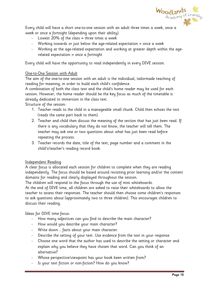

Every child will have a short one-to-one session with an adult three times a week, once a week or once a fortnight (depending upon their ability).

- Lowest 20% of the class = three times a week
- Working towards or just below the age-related expectation = once a week
- Working at the age-related expectation and working at greater depth within the agerelated expectation = once a fortnight

Every child will have the opportunity to read independently in every DIVE session.

#### One-to-One Session with Adult

The aim of the one-to-one session with an adult is the individual, tailormade teaching of reading for meaning, in order to build each child's confidence.

A combination of both the class text and the child's home reader may be used for each session. However, the home reader should be the key focus as much of the timetable is already dedicated to immersion in the class text.

Structure of the session:

- 1. Teacher reads to the child in a manageable small chunk. Child then echoes the text (reads the same part back to them).
- 2. Teacher and child then discuss the meaning of the section that has just been read. If there is any vocabulary that they do not know, the teacher will tell them. The teacher may ask one or two questions about what has just been read before repeating the process.
- 3. Teacher records the date, title of the text, page number and a comment in the child's/teacher's reading record book.

#### Independent Reading

A clear focus is allocated each session for children to complete when they are reading independently. The focus should be based around revisiting prior learning and/or the content domains for reading and clearly displayed throughout the session.

The children will respond to the focus through the use of mini whiteboards.

At the end of DIVE time, all children are asked to raise their whiteboards to allow the teacher to assess their responses. The teacher should then choose some children's responses to ask questions about (approximately two to three children). This encourages children to discuss their reading.

Ideas for DIVE time focus:

- How many adjectives can you find to describe the main character?
- How would you describe your main character?
- Write down ... facts about your main character.
- Describe the setting of your text. Use evidence from the text in your response.
- Choose one word that the author has used to describe the setting or character and explain why you believe they have chosen that word. Can you think of an alternative?
- Whose perspective/viewpoint has your book been written from?
- Is your text fiction or non-fiction? How do you know?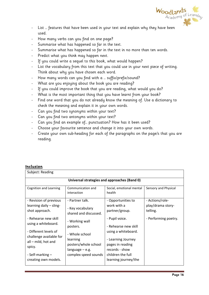

- List … features that have been used in your text and explain why they have been used.
- How many verbs can you find on one page?
- Summarise what has happened so far in the text.
- Summarise what has happened so far in the text in no more than ten words.
- Predict what you think may happen next.
- If you could write a sequel to this book, what would happen?
- List the vocabulary from this text that you could use in your next piece of writing. Think about why you have chosen each word.
- How many words can you find with a ... suffix/prefix/sound?
- What are you enjoying about the book you are reading?
- If you could improve the book that you are reading, what would you do?
- What is the most important thing that you have learnt from your book?
- Find one word that you do not already know the meaning of. Use a dictionary to check the meaning and explain it in your own words.
- Can you find two synonyms within your text?
- Can you find two antonyms within your text?
- Can you find an example of... punctuation? How has it been used?
- Choose your favourite sentence and change it into your own words.
- Create your own sub-heading for each of the paragraphs on the page/s that you are reading.

#### **Inclusion**

| Subject: Reading                                                                                      |                                                                                               |                                                                                                      |                                                  |  |  |
|-------------------------------------------------------------------------------------------------------|-----------------------------------------------------------------------------------------------|------------------------------------------------------------------------------------------------------|--------------------------------------------------|--|--|
| Universal strategies and approaches (Band 0)                                                          |                                                                                               |                                                                                                      |                                                  |  |  |
| Cognition and Learning                                                                                | Communication and<br>interaction                                                              | Social, emotional mental<br>health                                                                   | Sensory and Physical                             |  |  |
| - Revision of previous<br>learning daily - sling-<br>shot approach.                                   | - Partner talk.<br>- Key vocabulary<br>shared and discussed.                                  | - Opportunities to<br>work with a<br>partner/group.                                                  | - Actions/role-<br>play/drama story-<br>telling. |  |  |
| - Rehearse new skill<br>using a whiteboard.                                                           | - Working wall<br>posters.                                                                    | - Pupil voice.<br>- Rehearse new skill                                                               | - Performing poetry.                             |  |  |
| - Different levels of<br>challenge available for<br>all – mild, hot and<br>spicy.<br>- Self-marking - | - Whole school<br>learning<br>posters/whole school<br>language – e.g.<br>complex speed sounds | using a whiteboard.<br>- Learning Journey<br>pages in reading<br>records - show<br>children the full |                                                  |  |  |
| creating own models.                                                                                  |                                                                                               | learning journey/the                                                                                 |                                                  |  |  |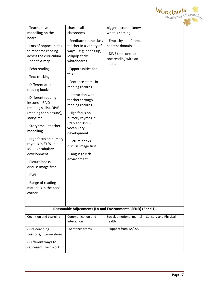

| - Teacher live<br>modelling on the<br>board<br>- Lots of opportunities<br>to rehearse reading<br>across the curriculum<br>- see text map<br>- Echo reading                                                                                                                                                                                         | chart in all<br>classrooms.<br>- Feedback to the class<br>teacher in a variety of<br>ways $-$ e.g. hands-up,<br>lollipop sticks,<br>whiteboards.<br>- Opportunities for                                                         | bigger picture - know<br>what is coming<br>- Empathy in inference<br>content domain.<br>- DIVE time one-to-<br>one reading with an<br>adult. |                      |
|----------------------------------------------------------------------------------------------------------------------------------------------------------------------------------------------------------------------------------------------------------------------------------------------------------------------------------------------------|---------------------------------------------------------------------------------------------------------------------------------------------------------------------------------------------------------------------------------|----------------------------------------------------------------------------------------------------------------------------------------------|----------------------|
| - Text tracking                                                                                                                                                                                                                                                                                                                                    | talk.<br>- Sentence stems in                                                                                                                                                                                                    |                                                                                                                                              |                      |
| - Differentiated<br>reading books                                                                                                                                                                                                                                                                                                                  | reading records.                                                                                                                                                                                                                |                                                                                                                                              |                      |
| - Different reading<br>lessons - RAID<br>(reading skills), DIVE<br>(reading for pleasure),<br>storytime.<br>- Storytime - teacher<br>modelling.<br>- High focus on nursery<br>rhymes in EYFS and<br>KS1 - vocabulary<br>development<br>- Picture books-<br>discuss image first.<br>- RWI<br>- Range of reading<br>materials in the book<br>corner. | - Interaction with<br>teacher through<br>reading records.<br>- High focus on<br>nursery rhymes in<br>EYFS and KS1-<br>vocabulary<br>development<br>- Picture books -<br>discuss image first.<br>- Language rich<br>environment. |                                                                                                                                              |                      |
|                                                                                                                                                                                                                                                                                                                                                    | Reasonable Adjustments (LA and Environmental SEND) (Band 1)                                                                                                                                                                     |                                                                                                                                              |                      |
| <b>Cognition and Learning</b>                                                                                                                                                                                                                                                                                                                      | Communication and<br>interaction                                                                                                                                                                                                | Social, emotional mental<br>health                                                                                                           | Sensory and Physical |
| - Pre-teaching<br>sessions/interventions.<br>- Different ways to<br>represent their work.                                                                                                                                                                                                                                                          | - Sentence stems                                                                                                                                                                                                                | - Support from TA/LSA                                                                                                                        |                      |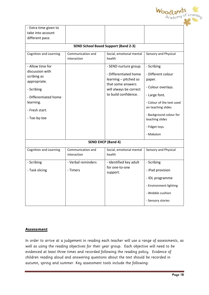

| - Extra time given to                                                                                                                                    |                                             |                                                                                                                                                |                                                                                                                                                                                                                   |
|----------------------------------------------------------------------------------------------------------------------------------------------------------|---------------------------------------------|------------------------------------------------------------------------------------------------------------------------------------------------|-------------------------------------------------------------------------------------------------------------------------------------------------------------------------------------------------------------------|
| take into account                                                                                                                                        |                                             |                                                                                                                                                |                                                                                                                                                                                                                   |
| different pace.                                                                                                                                          |                                             |                                                                                                                                                |                                                                                                                                                                                                                   |
|                                                                                                                                                          | <b>SEND School Based Support (Band 2-3)</b> |                                                                                                                                                |                                                                                                                                                                                                                   |
| <b>Cognition and Learning</b>                                                                                                                            | Communication and<br>interaction            | Social, emotional mental<br>health                                                                                                             | Sensory and Physical                                                                                                                                                                                              |
| - Allow time for<br>discussion with<br>scribing as<br>appropriate.<br>- Scribing<br>- Differentiated home<br>learning.<br>- Fresh start.<br>- Toe-by-toe |                                             | - SEND nurture group.<br>- Differentiated home<br>learning - pitched so<br>that some answers<br>will always be correct<br>to build confidence. | - Scribing<br>- Different colour<br>paper.<br>- Colour overlays.<br>- Large font.<br>- Colour of the text used<br>on teaching slides<br>- Background colour for<br>teaching slides<br>- Fidget toys.<br>- Makaton |
|                                                                                                                                                          |                                             |                                                                                                                                                |                                                                                                                                                                                                                   |
|                                                                                                                                                          | <b>SEND EHCP (Band 4)</b>                   |                                                                                                                                                |                                                                                                                                                                                                                   |
| <b>Cognition and Learning</b>                                                                                                                            | Communication and<br>interaction            | Social, emotional mental<br>health                                                                                                             | Sensory and Physical                                                                                                                                                                                              |
| - Scribing                                                                                                                                               | - Verbal reminders                          | - Identified key adult                                                                                                                         | - Scribing                                                                                                                                                                                                        |
| - Task slicing                                                                                                                                           | - Timers                                    | for one-to-one<br>support.                                                                                                                     | - iPad provision                                                                                                                                                                                                  |
|                                                                                                                                                          |                                             |                                                                                                                                                | - IDL programme                                                                                                                                                                                                   |
|                                                                                                                                                          |                                             |                                                                                                                                                | - Environment lighting                                                                                                                                                                                            |
|                                                                                                                                                          |                                             |                                                                                                                                                | - Wobble cushion                                                                                                                                                                                                  |
|                                                                                                                                                          |                                             |                                                                                                                                                | - Sensory stories                                                                                                                                                                                                 |

#### **Assessment**

In order to arrive at a judgement in reading each teacher will use a range of assessments, as well as using the reading objectives for their year group. Each objective will need to be evidenced at least three times and recorded following the reading policy. Evidence of children reading aloud and answering questions about the text should be recorded in autumn, spring and summer. Key assessment tools include the following: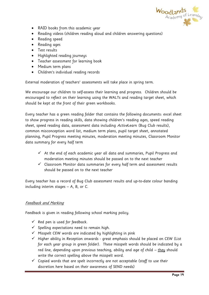

- RAID books from this academic year
- Reading videos (children reading aloud and children answering questions)
- Reading speed
- Reading ages
- Test results
- Highlighted reading journeys
- Teacher assessment for learning book
- Medium term plans
- Children's individual reading records

External moderation of teachers' assessments will take place in spring term.

We encourage our children to self-assess their learning and progress. Children should be encouraged to reflect on their learning using the WALTs and reading target sheet, which should be kept at the front of their green workbooks.

Every teacher has a green reading folder that contains the following documents: excel sheet to show progress in reading skills, data showing children's reading ages, speed reading sheet, speed reading data, assessment data including ActiveLearn (Bug Club results), common misconception word list, medium term plans, pupil target sheet, annotated planning, Pupil Progress meeting minutes, moderation meeting minutes, Classroom Monitor data summary for every half term

- $\checkmark$  At the end of each academic year all data and summaries, Pupil Progress and moderation meeting minutes should be passed on to the next teacher
- $\checkmark$  Classroom Monitor data summaries for every half term and assessment results should be passed on to the next teacher

Every teacher has a record of Bug Club assessment results and up-to-date colour banding including interim stages – A, B, or C.

#### Feedback and Marking

Feedback is given in reading following school marking policy.

- $\checkmark$  Red pen is used for feedback.
- $\checkmark$  Spelling expectations need to remain high.
- $\checkmark$  Misspelt CEW words are indicated by highlighting in pink
- $\checkmark$  Higher ability in Reception onwards great emphasis should be placed on CEW (List for each year group in green folder). These misspelt words should be indicated by a red line, depending upon previous teaching, ability and age of child – they should write the correct spelling above the misspelt word.
- $\checkmark$  Copied words that are spelt incorrectly are not acceptable (staff to use their discretion here based on their awareness of SEND needs)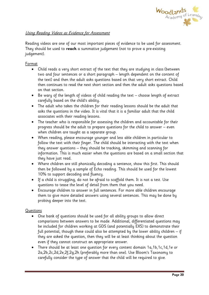

## Using Reading Videos as Evidence for Assessment

Reading videos are one of our most important pieces of evidence to be used for assessment. They should be used to **reach** a summative judgement (not to prove a pre-existing judgement).

## Format

- Child reads a very short extract of the text that they are studying in class (between two and four sentences or a short paragraph – length dependent on the content of the text) and then the adult asks questions based on that very short extract. Child then continues to read the next short section and then the adult asks questions based on that section.
- Be wary of the length of videos of child reading the text choose length of extract carefully based on the child's ability.
- The adult who takes the children for their reading lessons should be the adult that asks the questions in the video. It is vital that it is a familiar adult that the child associates with their reading lessons.
- The teacher who is responsible for assessing the children and accountable for their progress should be the adult to prepare questions for the child to answer – even when children are taught as a separate group.
- When reading, please encourage younger and less able children in particular to follow the text with their finger. The child should be interacting with the text when they answer questions – they should be tracking, skimming and scanning for information. This is much easier when the questions are based on a small section that they have just read.
- Where children are still phonically decoding a sentence, show this first. This should then be followed by a sample of Echo reading. This should be used for the lowest 10% to support decoding and fluency.
- If a child is struggling, do not be afraid to scaffold them. It is not a test. Use questions to tease the level of detail from them that you need.
- Encourage children to answer in full sentences. For more able children encourage them to give more detailed answers using several sentences. This may be done by probing deeper into the text.

#### Questions

- One bank of questions should be used for all ability groups to allow direct comparisons between answers to be made. Additional, differentiated questions may be included for children working at GDS (and potentially EXS) to demonstrate their full potential, though these could also be attempted by the lower ability children – if they are asked the question, then they will be at least thinking about the question even if they cannot construct an appropriate answer.
- There should be at least one question for every content domain 1a,1b,1c,1d,1e or 2a,2b,2c,2d,2e,2f,2g,2h (preferably more than one). Use Bloom's Taxonomy to carefully consider the type of answer that the child will be required to give.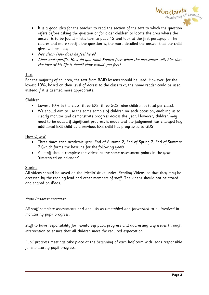

- It is a good idea for the teacher to read the section of the text to which the question refers before asking the question or for older children to locate the area where the answer is to be found – let's turn to page 12 and look at the first paragraph. The clearer and more specific the question is, the more detailed the answer that the child gives will be – e.g.
- Not clear: How does he feel here?
- Clear and specific: How do you think Romeo feels when the messenger tells him that the love of his life is dead? How would you feel?

## Text

For the majority of children, the text from RAID lessons should be used. However, for the lowest 10%, based on their level of access to the class text, the home reader could be used instead if it is deemed more appropriate.

## Children

- Lowest 10% in the class, three EXS, three GDS (nine children in total per class).
- We should aim to use the same sample of children on each occasion, enabling us to clearly monitor and demonstrate progress across the year. However, children may need to be added if significant progress is made and the judgement has changed (e.g. additional EXS child as a previous EXS child has progressed to GDS).

#### How Often?

- Three times each academic year: End of Autumn 2, End of Spring 2, End of Summer 2 (which forms the baseline for the following year).
- All staff should complete the videos at the same assessment points in the year (timetabled on calendar).

#### Storing

All videos should be saved on the 'Media' drive under 'Reading Videos' so that they may be accessed by the reading lead and other members of staff. The videos should not be stored and shared on iPads.

#### Pupil Progress Meetings

All staff complete assessments and analysis as timetabled and forwarded to all involved in monitoring pupil progress.

Staff to have responsibility for monitoring pupil progress and addressing any issues through intervention to ensure that all children meet the required expectation.

Pupil progress meetings take place at the beginning of each half term with leads responsible for monitoring pupil progress.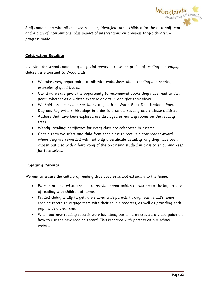

Staff come along with all their assessments, identified target children for the next half term and a plan of interventions, plus impact of interventions on previous target children – progress made

## **Celebrating Reading**

Involving the school community in special events to raise the profile of reading and engage children is important to Woodlands.

- We take every opportunity to talk with enthusiasm about reading and sharing examples of good books.
- Our children are given the opportunity to recommend books they have read to their peers, whether as a written exercise or orally, and give their views.
- We hold assemblies and special events, such as World Book Day, National Poetry Day and key writers' birthdays in order to promote reading and enthuse children.
- Authors that have been explored are displayed in learning rooms on the reading trees
- Weekly 'reading' certificates for every class are celebrated in assembly
- Once a term we select one child from each class to receive a star reader award where they are rewarded with not only a certificate detailing why they have been chosen but also with a hard copy of the text being studied in class to enjoy and keep for themselves.

#### **Engaging Parents**

We aim to ensure the culture of reading developed in school extends into the home.

- Parents are invited into school to provide opportunities to talk about the importance of reading with children at home.
- Printed child-friendly targets are shared with parents through each child's home reading record to engage them with their child's progress, as well as providing each pupil with a clear aim.
- When our new reading records were launched, our children created a video guide on how to use the new reading record. This is shared with parents on our school website.